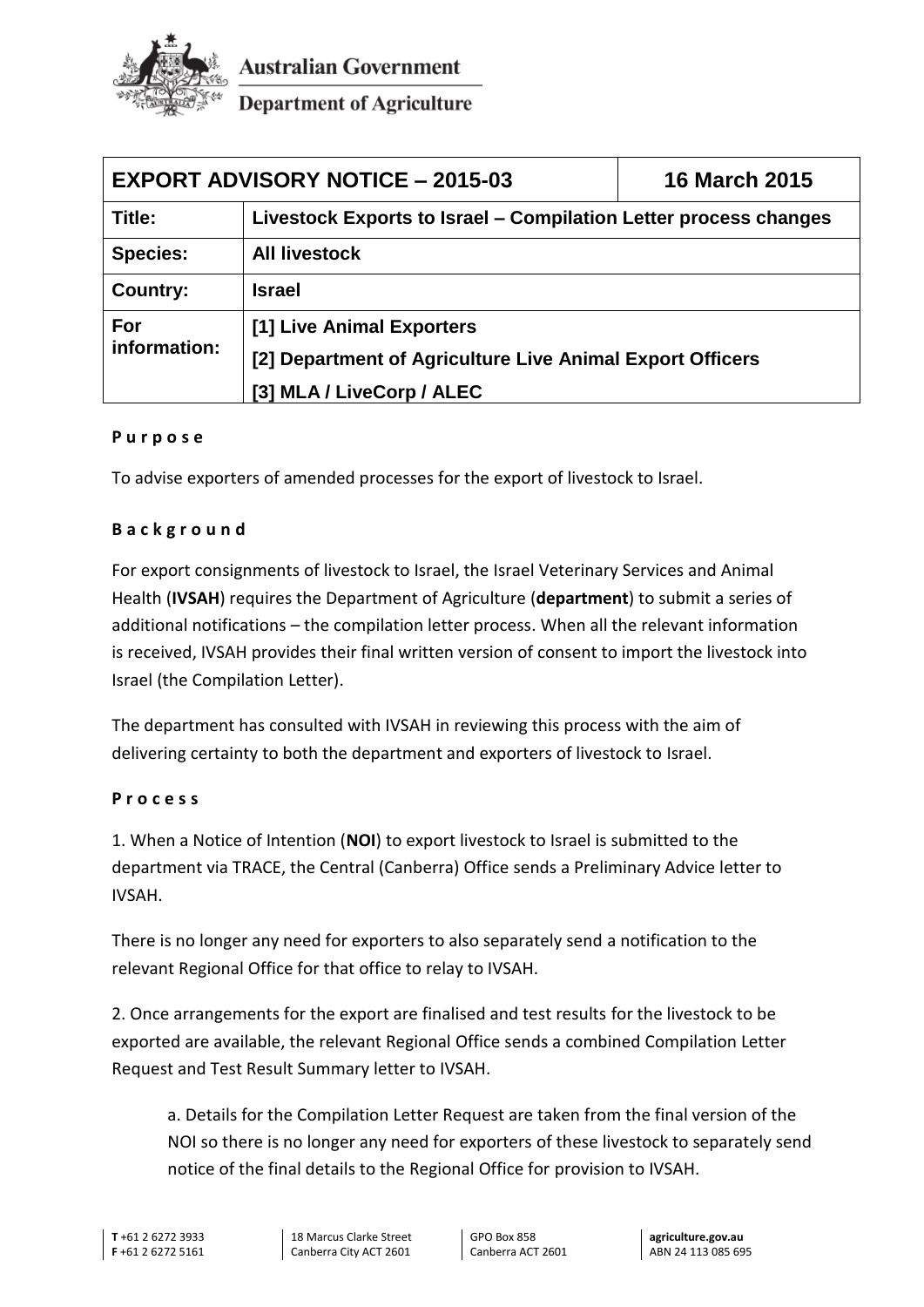

**Australian Government** 

**Department of Agriculture** 

| <b>EXPORT ADVISORY NOTICE - 2015-03</b><br><b>16 March 2015</b> |                                                                  |  |
|-----------------------------------------------------------------|------------------------------------------------------------------|--|
| Title:                                                          | Livestock Exports to Israel - Compilation Letter process changes |  |
| <b>Species:</b>                                                 | <b>All livestock</b>                                             |  |
| Country:                                                        | <b>Israel</b>                                                    |  |
| For<br>information:                                             | [1] Live Animal Exporters                                        |  |
|                                                                 | [2] Department of Agriculture Live Animal Export Officers        |  |
|                                                                 | [3] MLA / LiveCorp / ALEC                                        |  |

## **P u r p o s e**

To advise exporters of amended processes for the export of livestock to Israel.

## **B a c k g r o u n d**

For export consignments of livestock to Israel, the Israel Veterinary Services and Animal Health (**IVSAH**) requires the Department of Agriculture (**department**) to submit a series of additional notifications – the compilation letter process. When all the relevant information is received, IVSAH provides their final written version of consent to import the livestock into Israel (the Compilation Letter).

The department has consulted with IVSAH in reviewing this process with the aim of delivering certainty to both the department and exporters of livestock to Israel.

## **P r o c e s s**

1. When a Notice of Intention (**NOI**) to export livestock to Israel is submitted to the department via TRACE, the Central (Canberra) Office sends a Preliminary Advice letter to IVSAH.

There is no longer any need for exporters to also separately send a notification to the relevant Regional Office for that office to relay to IVSAH.

2. Once arrangements for the export are finalised and test results for the livestock to be exported are available, the relevant Regional Office sends a combined Compilation Letter Request and Test Result Summary letter to IVSAH.

a. Details for the Compilation Letter Request are taken from the final version of the NOI so there is no longer any need for exporters of these livestock to separately send notice of the final details to the Regional Office for provision to IVSAH.